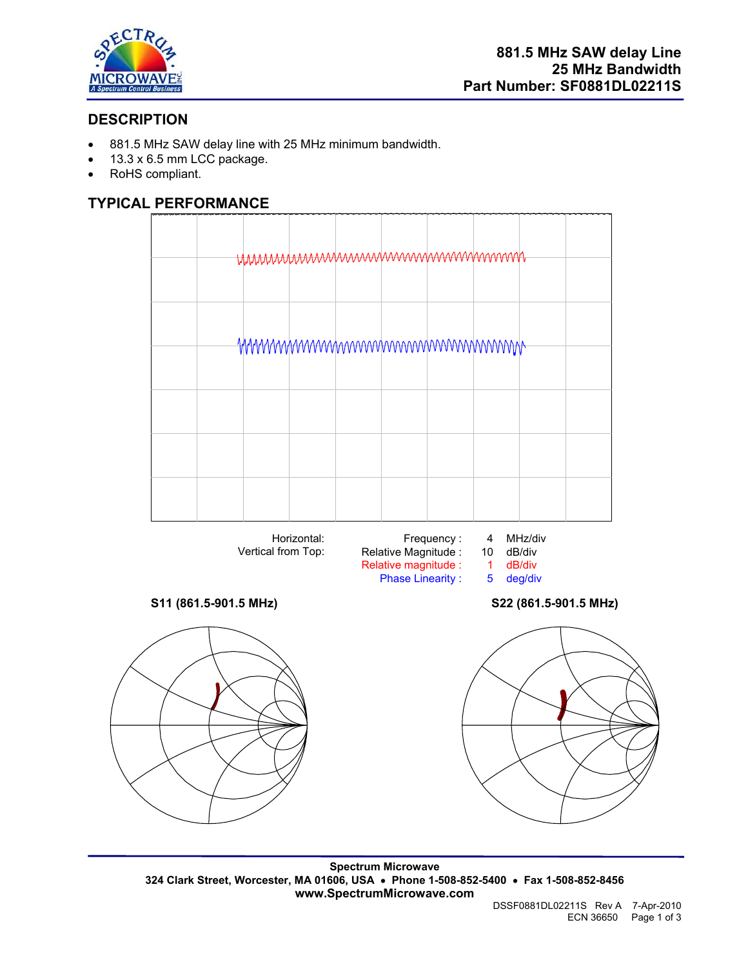

# **DESCRIPTION**

- 881.5 MHz SAW delay line with 25 MHz minimum bandwidth.
- 13.3 x 6.5 mm LCC package.
- RoHS compliant.

## **TYPICAL PERFORMANCE**





### **S11 (861.5-901.5 MHz) S22 (861.5-901.5 MHz)**



**Spectrum Microwave 324 Clark Street, Worcester, MA 01606, USA** • **Phone 1-508-852-5400** • **Fax 1-508-852-8456 www.SpectrumMicrowave.com**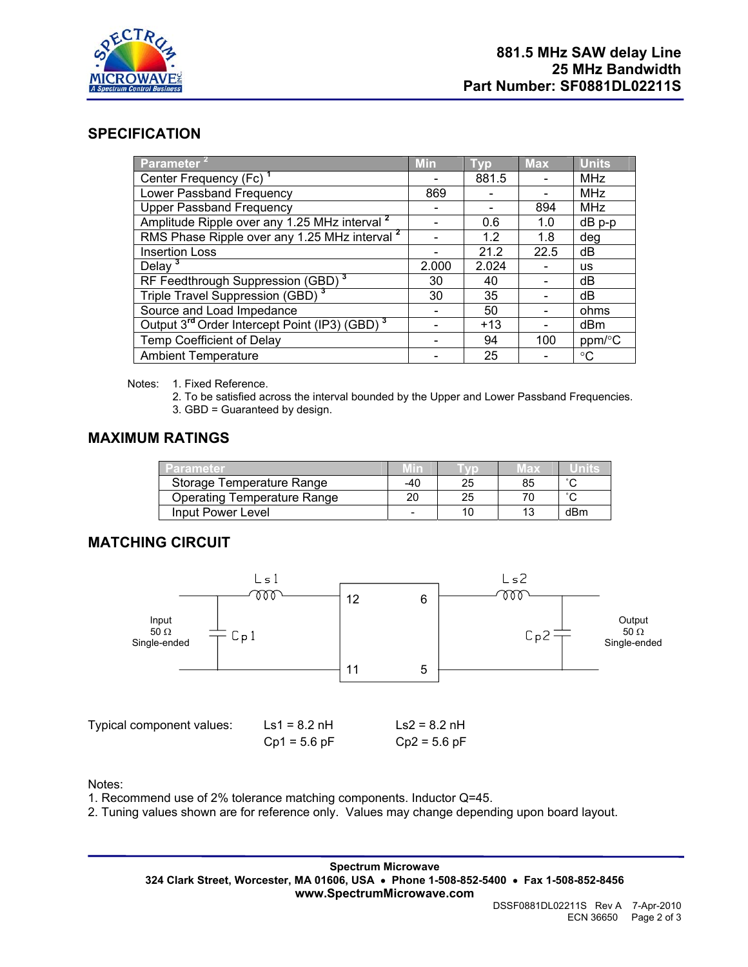

## **SPECIFICATION**

| Parameter <sup>2</sup>                                                | <b>Min</b> | <b>Typ</b> | <b>Max</b> | <b>Units</b> |
|-----------------------------------------------------------------------|------------|------------|------------|--------------|
| Center Frequency (Fc) <sup>1</sup>                                    |            | 881.5      |            | MHz          |
| Lower Passband Frequency                                              | 869        |            |            | <b>MHz</b>   |
| <b>Upper Passband Frequency</b>                                       |            |            | 894        | MHz          |
| Amplitude Ripple over any 1.25 MHz interval <sup>2</sup>              |            | 0.6        | 1.0        | $dB$ p-p     |
| RMS Phase Ripple over any 1.25 MHz interval <sup>2</sup>              |            | 1.2        | 1.8        | deg          |
| <b>Insertion Loss</b>                                                 |            | 21.2       | 22.5       | dB           |
| Delay $3$                                                             | 2.000      | 2.024      |            | us           |
| RF Feedthrough Suppression (GBD) <sup>3</sup>                         | 30         | 40         |            | dB           |
| Triple Travel Suppression (GBD) <sup>3</sup>                          | 30         | 35         |            | dB           |
| Source and Load Impedance                                             |            | 50         |            | ohms         |
| Output 3 <sup>rd</sup> Order Intercept Point (IP3) (GBD) <sup>3</sup> |            | $+13$      |            | dBm          |
| Temp Coefficient of Delay                                             |            | 94         | 100        | ppm/°C       |
| <b>Ambient Temperature</b>                                            |            | 25         |            | $^{\circ}C$  |

Notes: 1. Fixed Reference.

- 2. To be satisfied across the interval bounded by the Upper and Lower Passband Frequencies.
- 3. GBD = Guaranteed by design.

# **MAXIMUM RATINGS**

| Parameter                          |     |    | lla X |        |
|------------------------------------|-----|----|-------|--------|
| Storage Temperature Range          | -40 |    | 85    | $\sim$ |
| <b>Operating Temperature Range</b> | 20  | 25 |       |        |
| Input Power Level                  |     |    |       | dBm    |

## **MATCHING CIRCUIT**



| Typical component values: | $\text{Ls1} = 8.2 \text{ nH}$ | $\text{Ls2} = 8.2 \text{ nH}$ |
|---------------------------|-------------------------------|-------------------------------|
|                           | $Cp1 = 5.6 pF$                | $Cp2 = 5.6 pF$                |

Notes:

1. Recommend use of 2% tolerance matching components. Inductor Q=45.

2. Tuning values shown are for reference only. Values may change depending upon board layout.

**Spectrum Microwave 324 Clark Street, Worcester, MA 01606, USA** • **Phone 1-508-852-5400** • **Fax 1-508-852-8456 www.SpectrumMicrowave.com**